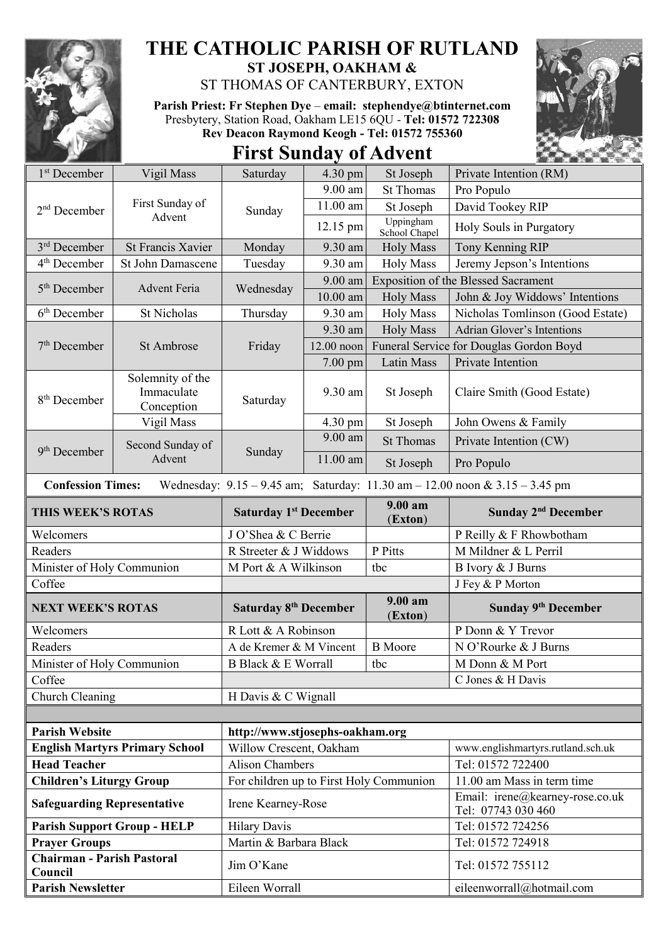

## **THE CATHOLIC PARISH OF RUTLAND ST JOSEPH, OAKHAM &**

ST THOMAS OF CANTERBURY, EXTON

**Parish Priest: Fr Stephen Dye** – **[email: stephendye@btinternet.com](mailto:email:%20%20stephendye@btinternet.com)** Presbytery, Station Road, Oakham LE15 6QU - **Tel: 01572 722308 Rev Deacon Raymond Keogh - Tel: 01572 755360**



## **First Sunday of Advent**

| 1 <sup>st</sup> December              | Vigil Mass                                                                                                      | Saturday                                | $4.30$ pm         | St Joseph                                                                                                                                                                 | Private Intention (RM)                                |  |
|---------------------------------------|-----------------------------------------------------------------------------------------------------------------|-----------------------------------------|-------------------|---------------------------------------------------------------------------------------------------------------------------------------------------------------------------|-------------------------------------------------------|--|
|                                       |                                                                                                                 |                                         | 9.00 am           | <b>St Thomas</b>                                                                                                                                                          | Pro Populo                                            |  |
| $2nd$ December                        | First Sunday of<br>Sunday                                                                                       | $11.00$ am                              | St Joseph         | David Tookey RIP                                                                                                                                                          |                                                       |  |
|                                       | Advent                                                                                                          |                                         | 12.15 pm          | Uppingham<br>School Chapel                                                                                                                                                | Holy Souls in Purgatory                               |  |
| 3 <sup>rd</sup> December              | <b>St Francis Xavier</b>                                                                                        | Monday                                  | 9.30 am           | <b>Holy Mass</b>                                                                                                                                                          | Tony Kenning RIP                                      |  |
| 4 <sup>th</sup> December              | St John Damascene                                                                                               | Tuesday                                 | 9.30 am           | <b>Holy Mass</b>                                                                                                                                                          | Jeremy Jepson's Intentions                            |  |
| 5 <sup>th</sup> December              | <b>Advent Feria</b>                                                                                             | Wednesday                               | $9.00$ am         |                                                                                                                                                                           | <b>Exposition of the Blessed Sacrament</b>            |  |
|                                       |                                                                                                                 |                                         | 10.00 am          | <b>Holy Mass</b>                                                                                                                                                          | John & Joy Widdows' Intentions                        |  |
| $6th$ December                        | <b>St Nicholas</b>                                                                                              | Thursday                                | 9.30 am           |                                                                                                                                                                           | Nicholas Tomlinson (Good Estate)                      |  |
| $7th$ December                        | St Ambrose                                                                                                      | Friday                                  | 9.30 am           |                                                                                                                                                                           | Adrian Glover's Intentions                            |  |
|                                       |                                                                                                                 |                                         | $12.00$ noon      |                                                                                                                                                                           | Funeral Service for Douglas Gordon Boyd               |  |
|                                       |                                                                                                                 |                                         | 7.00 pm           | Latin Mass                                                                                                                                                                | Private Intention                                     |  |
| 8 <sup>th</sup> December              | Solemnity of the<br>Immaculate<br>Conception                                                                    | Saturday                                | 9.30 am           | St Joseph                                                                                                                                                                 | Claire Smith (Good Estate)                            |  |
|                                       | Vigil Mass                                                                                                      |                                         | $4.30 \text{ pm}$ | <b>Holy Mass</b><br><b>Holy Mass</b><br>St Joseph<br><b>St Thomas</b><br>St Joseph<br>9.00 am<br>(Exton)<br>P Pitts<br>tbc<br>9.00 am<br>(Exton)<br><b>B</b> Moore<br>tbc | John Owens & Family                                   |  |
|                                       | Second Sunday of                                                                                                |                                         | $9.00$ am         |                                                                                                                                                                           | Private Intention (CW)                                |  |
| 9 <sup>th</sup> December              | Advent                                                                                                          | Sunday                                  | 11.00 am          |                                                                                                                                                                           | Pro Populo                                            |  |
|                                       | <b>Confession Times:</b><br>Wednesday: $9.15 - 9.45$ am; Saturday: $11.30$ am $- 12.00$ noon & $3.15 - 3.45$ pm |                                         |                   |                                                                                                                                                                           |                                                       |  |
| THIS WEEK'S ROTAS                     |                                                                                                                 | <b>Saturday 1st December</b>            |                   |                                                                                                                                                                           | Sunday 2 <sup>nd</sup> December                       |  |
| Welcomers                             |                                                                                                                 | J O'Shea & C Berrie                     |                   |                                                                                                                                                                           | P Reilly & F Rhowbotham                               |  |
| Readers                               |                                                                                                                 | R Streeter & J Widdows                  |                   |                                                                                                                                                                           | M Mildner & L Perril                                  |  |
| Minister of Holy Communion            |                                                                                                                 | M Port & A Wilkinson                    |                   |                                                                                                                                                                           | B Ivory & J Burns                                     |  |
| Coffee                                |                                                                                                                 |                                         |                   |                                                                                                                                                                           | J Fey & P Morton                                      |  |
| <b>NEXT WEEK'S ROTAS</b>              |                                                                                                                 | <b>Saturday 8th December</b>            |                   |                                                                                                                                                                           | Sunday 9 <sup>th</sup> December                       |  |
| Welcomers                             |                                                                                                                 | R Lott & A Robinson                     |                   |                                                                                                                                                                           | P Donn & Y Trevor                                     |  |
| Readers                               |                                                                                                                 | A de Kremer & M Vincent                 |                   |                                                                                                                                                                           | N O'Rourke & J Burns                                  |  |
| Minister of Holy Communion            |                                                                                                                 | B Black & E Worrall                     |                   |                                                                                                                                                                           | M Donn & M Port                                       |  |
| Coffee                                |                                                                                                                 |                                         |                   |                                                                                                                                                                           | C Jones & H Davis                                     |  |
| Church Cleaning                       |                                                                                                                 | H Davis & C Wignall                     |                   |                                                                                                                                                                           |                                                       |  |
|                                       |                                                                                                                 |                                         |                   |                                                                                                                                                                           |                                                       |  |
| <b>Parish Website</b>                 |                                                                                                                 | http://www.stjosephs-oakham.org         |                   |                                                                                                                                                                           |                                                       |  |
| <b>English Martyrs Primary School</b> |                                                                                                                 | Willow Crescent, Oakham                 |                   |                                                                                                                                                                           | www.englishmartyrs.rutland.sch.uk                     |  |
| <b>Head Teacher</b>                   |                                                                                                                 | <b>Alison Chambers</b>                  |                   |                                                                                                                                                                           | Tel: 01572 722400                                     |  |
| <b>Children's Liturgy Group</b>       |                                                                                                                 | For children up to First Holy Communion |                   |                                                                                                                                                                           | 11.00 am Mass in term time                            |  |
| <b>Safeguarding Representative</b>    |                                                                                                                 | Irene Kearney-Rose                      |                   |                                                                                                                                                                           | Email: irene@kearney-rose.co.uk<br>Tel: 07743 030 460 |  |
| <b>Parish Support Group - HELP</b>    |                                                                                                                 | <b>Hilary Davis</b>                     |                   |                                                                                                                                                                           | Tel: 01572 724256                                     |  |
| <b>Prayer Groups</b>                  |                                                                                                                 | Martin & Barbara Black                  |                   |                                                                                                                                                                           | Tel: 01572 724918                                     |  |
| Chairman - Parish Pastoral<br>Council |                                                                                                                 | Jim O'Kane                              |                   |                                                                                                                                                                           | Tel: 01572 755112                                     |  |
| <b>Parish Newsletter</b>              |                                                                                                                 | Eileen Worrall                          |                   |                                                                                                                                                                           | eileenworrall@hotmail.com                             |  |